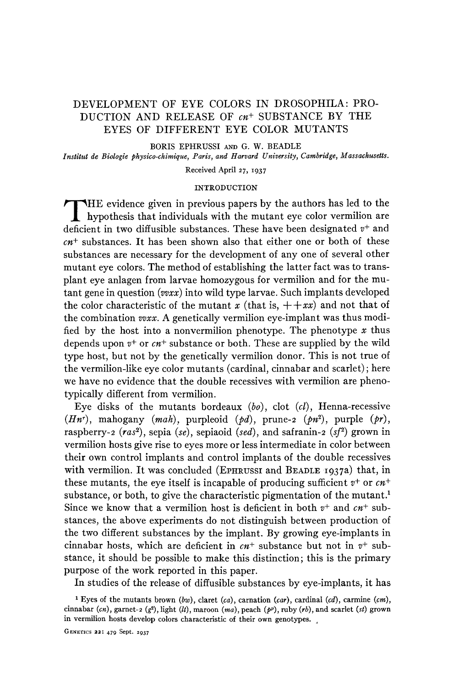# DEVELOPMENT OF EYE COLORS IN DROSOPHILA: PRO-DUCTION AND RELEASE OF *cn+* SUBSTANCE BY THE EYES OF DIFFERENT EYE COLOR MUTANTS

BORIS EPHRUSSI **AND** G. **W. BEADLE**  *Institut de Biologie physico-chimique, Paris, and Harvard University, Cambridge, Massachusetts.* 

Received April 27, **1937** 

## INTRODUCTION

HE evidence given in previous papers by the authors has led to the hypothesis that individuals with the mutant eye color vermilion are deficient in two diffusible substances. These have been designated *v+* and *cn+* substances. It has been shown also that either one or both of these substances are necessary for the development of any one of several other mutant eye colors. The method of establishing the latter fact was to transplant eye anlagen from larvae homozygous for vermilion and for the mutant gene in question *(vvxx)* into wild type larvae. Such implants developed the color characteristic of the mutant *x* (that is,  $++xx$ ) and not that of the combination *vvxx.* **A** genetically vermilion eye-implant was thus modified by the host into a nonvermilion phenotype. The phenotype *x* thus depends upon *v+* or *cn+* substance or both. These are supplied by the wild type host, but not by the genetically vermilion donor. This is not true of the vermilion-like eye color mutants (cardinal, cinnabar and scarlet) ; here we have no evidence that the double recessives with vermilion are phenotypically different from vermilion.

Eye disks of the mutants bordeaux *(bo),* clot *(cl),* Henna-recessive *(Hn'),* mahogany *(mah),* purpleoid *(pd),* prune-a *(pn2),* purple *(pr),*  raspberry-a *(vas2),* sepia *(se),* sepiaoid *(sed),* and safranin-a *(sj2)* grown in vermilion hosts give rise to eyes more or less intermediate in color between their own control implants and control implants of the double recessives with vermilion. It was concluded (EPHRUSSI and BEADLE 1937a) that, in these mutants, the eye itself is incapable of producing sufficient *v+* or *cn+*  substance, or both, to give the characteristic pigmentation of the mutant.<sup>1</sup> Since we know that a vermilion host is deficient in both *v+* and *cn+* substances, the above experiments do not distinguish between production of the two different substances by the implant. By growing eye-implants in cinnabar hosts, which are deficient in *cn+* substance but not in *v+* substance, it should be possible to make this distinction; this is the primary purpose of the work reported in this paper.

In studies of the release of diffusible substances by eye-implants, it has

**GENETICS zz: 479 Sept. 1937** 

Eyes of the mutants brown *(bw),* claret *(ca),* carnation *(car),* cardinal *(cd),* carmine *(cm),*  cinnabar *(cn),* garnet-2 *(gz),* light *(U),* maroon *(ma),* peach *(pp),* ruby **(rb),** and scarlet *(st)* grown in vermilion hosts develop colors characteristic **of** their own genotypes. .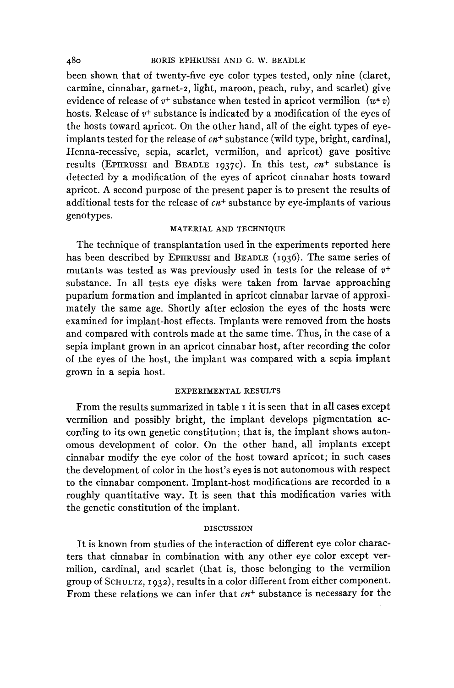### **480** BORIS EPHRUSSI **AND G. W. BEADLE**

been shown that of twenty-five eye color types tested, only nine (claret, carmine, cinnabar, garnet-2, light, maroon, peach, ruby, and scarlet) give evidence of release of  $v^+$  substance when tested in apricot vermilion  $(w^a v)$ hosts. Release of  $v^+$  substance is indicated by a modification of the eyes of the hosts toward apricot. On the other hand, all of the eight types of eyeimplants tested for the release of *cn+* substance (wild type, bright, cardinal, Henna-recessive, sepia, scarlet, vermilion, and apricot) gave positive results (EPHRUSSI and BEADLE 1937c). In this test,  $cn^{+}$  substance is detected by a modification of the eyes of apricot cinnabar hosts toward apricot. **A** second purpose of the present paper is to present the results of additional tests for the release of *cn+* substance by eye-implants of various genotypes.

# MATERIAL AND TECHNIQUE

The technique of transplantation used in the experiments reported here has been described by EPHRUSSI and BEADLE (1936). The same series of mutants was tested as was previously used in tests for the release of *v+*  substance. In all tests eye disks were taken from larvae approaching puparium formation and implanted in apricot cinnabar larvae of approximately the same age. Shortly after eclosion the eyes of the hosts were examined for implant-host effects. Implants were removed from the hosts and compared with controls made at the same time. Thus, in the case of a sepia implant grown in an apricot cinnabar host, after recording the color of the eyes of the host, the implant was compared with a sepia implant grown in a sepia host.

#### EXPERIMENTAL RESULTS

From the results summarized in table I it is seen that in all cases except vermilion and possibly bright, the implant develops pigmentation according to its own genetic constitution; that is, the implant shows autonomous development of color. On the other hand, all implants except cinnabar modify the eye color of the host toward apricot; in such cases the development of color in the host's eyes is not autonomous with respect to the cinnabar component. Implant-host modifications are recorded in a roughly quantitative way. It is seen that this modification varies with the genetic constitution of the implant.

## DISCUSSION

It is known from studies of the interaction of different eye color characters that cinnabar in combination with any other eye color except vermilion, cardinal, and scarlet (that is, those belonging to the vermilion group of SCHULTZ, 1932), results in a color different from either component. From these relations we can infer that *cn+* substance is necessary for the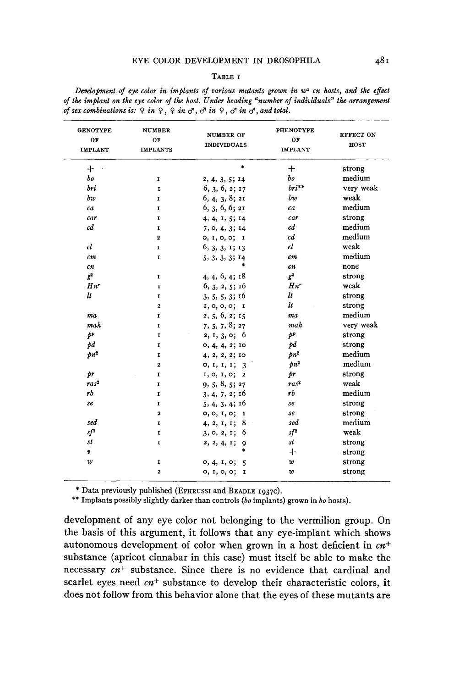#### **TABLE I**

| Development of eye color in implants of various mutants grown in $w^a$ on hosts, and the effect            |  |  |
|------------------------------------------------------------------------------------------------------------|--|--|
| of the implant on the eye color of the host. Under heading "number of individuals" the arrangement         |  |  |
| of sex combinations is: $9$ in $9$ , $9$ in $\sigma$ , $\sigma$ in $9$ , $\sigma$ in $\sigma$ , and total. |  |  |

| <b>GENOTYPE</b><br>OF<br><b>IMPLANT</b> | <b>NUMBER</b><br>OF<br><b>IMPLANTS</b> | <b>NUMBER OF</b><br><b>INDIVIDUALS</b> | <b>PHENOTYPE</b><br>OF<br><b>IMPLANT</b> | EFFECT ON<br>HOST |
|-----------------------------------------|----------------------------------------|----------------------------------------|------------------------------------------|-------------------|
| $+$                                     |                                        | $\ast$                                 | $+$                                      | strong            |
| $^{bo}$                                 | I                                      | 2, 4, 3, 5; 14                         | $b$ o                                    | medium            |
| bri                                     | 1                                      | 6, 3, 6, 2; 17                         | $bri**$                                  | very weak         |
| bw                                      | I                                      | 6, 4, 3, 8; 21                         | bw                                       | weak              |
| ca                                      | I.                                     | 6, 3, 6, 6; 21                         | ca                                       | medium            |
| car                                     | I                                      | 4, 4, 1, 5; 14                         | $c$ ar                                   | strong            |
| $c\bar{d}$                              | $\mathbf I$                            | 7, 0, 4, 3; 14                         | c d                                      | medium            |
|                                         | $\overline{\mathbf{2}}$                | 0, 1, 0, 0; 1                          | $c\overline{d}$                          | medium            |
| $\mathfrak{cl}$                         | I                                      | 6, 3, 3, 1; 13                         | $\mathfrak{cl}$                          | weak              |
| cm                                      | I.                                     | 5, 3, 3, 3; 14                         | $\epsilon$ m                             | medium            |
| $\epsilon n$                            |                                        | $\ast$                                 | cn                                       | none              |
| g <sup>2</sup>                          | 1                                      | 4, 4, 6, 4; 18                         | $g^2$                                    | strong            |
| $Hn^r$                                  | I                                      | 6, 3, 2, 5; 16                         | $Hn^r$                                   | weak              |
| $\boldsymbol{u}$                        | $\mathbf I$                            | 3, 5, 5, 3; 16                         | lt                                       | strong            |
|                                         | $\overline{a}$                         | I, 0, 0, 0; I                          | lt                                       | strong            |
| ma                                      | 1                                      | 2, 5, 6, 2; 15                         | ma                                       | medium            |
| mah                                     | I                                      | 7, 5, 7, 8; 27                         | mah                                      | very weak         |
| $\dot{\mathcal{P}}^{\mathcal{V}}$       | $\mathbf r$                            | 2, 1, 3, 0; 6                          | p <sup>p</sup>                           | strong            |
| pd                                      | $\mathbf{I}$                           | 0, 4, 4, 2; 10                         | pd                                       | strong            |
| $pn^2$                                  | $\mathbf{r}$                           | 4, 2, 2, 2; 10                         | $pn^2$                                   | medium            |
|                                         | $\overline{a}$                         | 0, I, I, I; 3                          | $pn^2$                                   | medium            |
| br                                      | I                                      | 1, 0, 1, 0; 2                          | þr                                       | strong            |
| $\sqrt{r} a s^2$                        | $\mathbf{I}$                           | 9, 5, 8, 5; 27                         | $\sqrt{r} a s^2$                         | weak              |
| rb                                      | r                                      | 3, 4, 7, 2; 16                         | rЪ                                       | medium            |
| se                                      | $\mathbf{I}$                           | 5, 4, 3, 4; 16                         | se                                       | strong            |
|                                         | $\overline{\mathbf{z}}$                | 0, 0, 1, 0;<br>I                       | se                                       | strong            |
| sed                                     | $\mathbf{I}$                           | 8<br>4, 2, 1, 1;                       | sed                                      | medium            |
| $sf^2$                                  | I                                      | 6<br>3, 0, 2, 1;                       | $sf^2$                                   | weak              |
| st                                      | I                                      | 2, 2, 4, 1;<br>9                       | st                                       | strong            |
| v                                       |                                        | $\ast$                                 | $^{+}$                                   | strong            |
| w                                       | 1                                      | 0, 4, 1, 0;<br>$\overline{\mathbf{5}}$ | w                                        | strong            |
|                                         | 2                                      | 0, 1, 0, 0;<br>I                       | w                                        | strong            |
|                                         |                                        |                                        |                                          |                   |

\* **Data previously published (EPHRUSSI and BEADLE 1937~).** 

\*\* **Implants possibly slightly darker than controls** *(bo* **implants) grown in** *bo* **hosts).** 

development of any eye color not belonging to the vermilion group. On the basis of this argument, it follows that any eye-implant which shows autonomous development of color when grown in a host deficient in  $cn^+$ substance (apricot cinnabar in this case) must itself be able to make the necessary  $cn$ <sup>+</sup> substance. Since there is no evidence that cardinal and scarlet eyes need *cn+* substance to develop their characteristic colors, it does not follow from this behavior alone that the eyes of these mutants are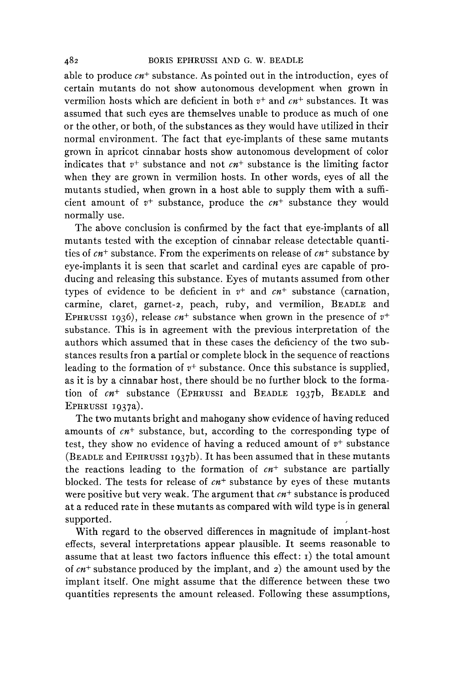able to produce *cn+* substance. As pointed out in the introduction, eyes of certain mutants do not show autonomous development when grown in vermilion hosts which are deficient in both *v+* and *cn+* substances. It was assumed that such eyes are themselves unable to produce as much of one or the other, or both, of the substances as they would have utilized in their normal environment. The fact that eye-implants of these same mutants grown in apricot cinnabar hosts show autonomous development of color indicates that  $v^+$  substance and not  $cn^+$  substance is the limiting factor when they are grown in vermilion hosts. In other words, eyes of all the mutants studied, when grown in a host able to supply them with a sufficient amount of *v+* substance, produce the *cn+* substance they would normally use.

The above conclusion is confirmed by the fact that eye-implants of all mutants tested with the exception of cinnabar release detectable quantities of *cnf* substance. From the experiments on release of *cn+* substance by eye-implants it is seen that scarlet and cardinal eyes are capable of producing and releasing this substance. Eyes of mutants assumed from other types of evidence to be deficient in  $v^+$  and  $cn^+$  substance (carnation, carmine, claret, garnet-2, peach, ruby, and vermilion, BEADLE and EPHRUSSI 1936), release  $cn$ <sup>+</sup> substance when grown in the presence of  $v$ <sup>+</sup> substance. This is in agreement with the previous interpretation of the authors which assumed that in these cases the deficiency of the two substances results fron a partial or complete block in the sequence of reactions leading to the formation of  $v^+$  substance. Once this substance is supplied, as it is by a cinnabar host, there should be no further block to the formation of *cn+* substance (EPHRUSSI and BEADLE 1937b, BEADLE and EPHRUSSI 1937a).

The two mutants bright and mahogany show evidence of having reduced amounts of *cn+* substance, but, according to the corresponding type of test, they show no evidence of having a reduced amount of  $v^+$  substance (BEADLE and EPHRUSSI 1937b). It has been assumed that in these mutants the reactions leading to the formation of *cn+* substance are partially blocked. The tests for release of *cn+* substance by eyes of these mutants were positive but very weak. The argument that *cn+* substance is produced at a reduced rate in these mutants as compared with wild type is in general supported.

With regard to the observed differences in magnitude of implant-host effects, several interpretations appear plausible. It seems reasonable to assume that at least two factors influence this effect:  $i$ ) the total amount of *cn+* substance produced by the implant, and 2) the amount used by the implant itself. One might assume that the difference between these two quantities represents the amount released. Following these assumptions,